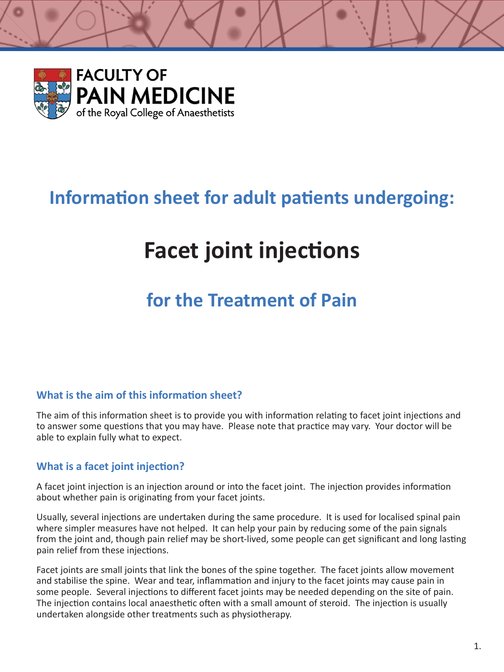

# **Information sheet for adult patients undergoing:**

# **Facet joint injections**

# **for the Treatment of Pain**

# **What is the aim of this information sheet?**

The aim of this information sheet is to provide you with information relating to facet joint injections and to answer some questions that you may have. Please note that practice may vary. Your doctor will be able to explain fully what to expect.

# **What is a facet joint injection?**

A facet joint injection is an injection around or into the facet joint. The injection provides information about whether pain is originating from your facet joints.

Usually, several injections are undertaken during the same procedure. It is used for localised spinal pain where simpler measures have not helped. It can help your pain by reducing some of the pain signals from the joint and, though pain relief may be short-lived, some people can get significant and long lasting pain relief from these injections.

Facet joints are small joints that link the bones of the spine together. The facet joints allow movement and stabilise the spine. Wear and tear, inflammation and injury to the facet joints may cause pain in some people. Several injections to different facet joints may be needed depending on the site of pain. The injection contains local anaesthetic often with a small amount of steroid. The injection is usually undertaken alongside other treatments such as physiotherapy.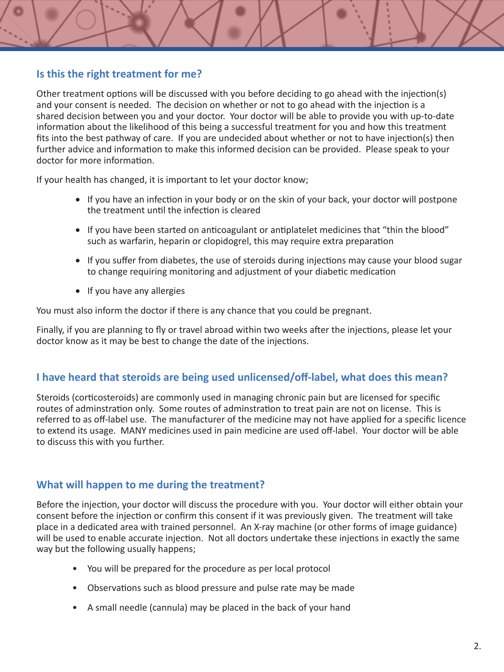# **Is this the right treatment for me?**

Other treatment options will be discussed with you before deciding to go ahead with the injection(s) and your consent is needed. The decision on whether or not to go ahead with the injection is a shared decision between you and your doctor. Your doctor will be able to provide you with up-to-date information about the likelihood of this being a successful treatment for you and how this treatment fits into the best pathway of care. If you are undecided about whether or not to have injection(s) then further advice and information to make this informed decision can be provided. Please speak to your doctor for more information.

If your health has changed, it is important to let your doctor know;

- If you have an infection in your body or on the skin of your back, your doctor will postpone the treatment until the infection is cleared
- If you have been started on anticoagulant or antiplatelet medicines that "thin the blood" such as warfarin, heparin or clopidogrel, this may require extra preparation
- If you suffer from diabetes, the use of steroids during injections may cause your blood sugar to change requiring monitoring and adjustment of your diabetic medication
- If you have any allergies

You must also inform the doctor if there is any chance that you could be pregnant.

Finally, if you are planning to fly or travel abroad within two weeks after the injections, please let your doctor know as it may be best to change the date of the injections.

# **I have heard that steroids are being used unlicensed/off-label, what does this mean?**

Steroids (corticosteroids) are commonly used in managing chronic pain but are licensed for specific routes of adminstration only. Some routes of adminstration to treat pain are not on license. This is referred to as off-label use. The manufacturer of the medicine may not have applied for a specific licence to extend its usage. MANY medicines used in pain medicine are used off-label. Your doctor will be able to discuss this with you further.

# **What will happen to me during the treatment?**

Before the injection, your doctor will discuss the procedure with you. Your doctor will either obtain your consent before the injection or confirm this consent if it was previously given. The treatment will take place in a dedicated area with trained personnel. An X-ray machine (or other forms of image guidance) will be used to enable accurate injection. Not all doctors undertake these injections in exactly the same way but the following usually happens;

- You will be prepared for the procedure as per local protocol
- Observations such as blood pressure and pulse rate may be made
- A small needle (cannula) may be placed in the back of your hand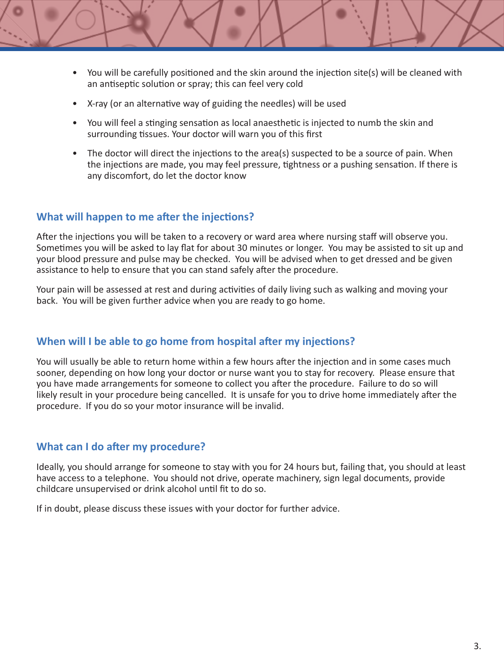- You will be carefully positioned and the skin around the injection site(s) will be cleaned with an antiseptic solution or spray; this can feel very cold
- X-ray (or an alternative way of guiding the needles) will be used
- You will feel a stinging sensation as local anaesthetic is injected to numb the skin and surrounding tissues. Your doctor will warn you of this first
- The doctor will direct the injections to the area(s) suspected to be a source of pain. When the injections are made, you may feel pressure, tightness or a pushing sensation. If there is any discomfort, do let the doctor know

# **What will happen to me after the injections?**

After the injections you will be taken to a recovery or ward area where nursing staff will observe you. Sometimes you will be asked to lay flat for about 30 minutes or longer. You may be assisted to sit up and your blood pressure and pulse may be checked. You will be advised when to get dressed and be given assistance to help to ensure that you can stand safely after the procedure.

Your pain will be assessed at rest and during activities of daily living such as walking and moving your back. You will be given further advice when you are ready to go home.

## **When will I be able to go home from hospital after my injections?**

You will usually be able to return home within a few hours after the injection and in some cases much sooner, depending on how long your doctor or nurse want you to stay for recovery.Please ensure that you have made arrangements for someone to collect you after the procedure. Failure to do so will likely result in your procedure being cancelled. It is unsafe for you to drive home immediately after the procedure. If you do so your motor insurance will be invalid.

## **What can I do after my procedure?**

Ideally, you should arrange for someone to stay with you for 24 hours but, failing that, you should at least have access to a telephone. You should not drive, operate machinery, sign legal documents, provide childcare unsupervised or drink alcohol until fit to do so.

If in doubt, please discuss these issues with your doctor for further advice.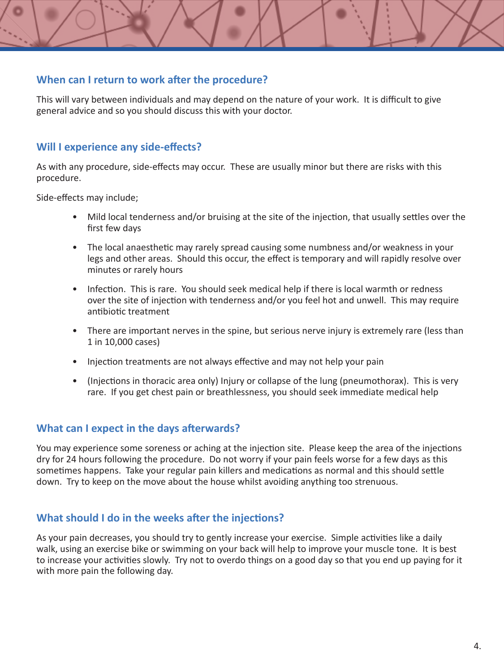# **When can I return to work after the procedure?**

This will vary between individuals and may depend on the nature of your work. It is difficult to give general advice and so you should discuss this with your doctor.

# **Will I experience any side-effects?**

As with any procedure, side-effects may occur. These are usually minor but there are risks with this procedure.

Side-effects may include;

- Mild local tenderness and/or bruising at the site of the injection, that usually settles over the first few days
- The local anaesthetic may rarely spread causing some numbness and/or weakness in your legs and other areas. Should this occur, the effect is temporary and will rapidly resolve over minutes or rarely hours
- Infection. This is rare. You should seek medical help if there is local warmth or redness over the site of injection with tenderness and/or you feel hot and unwell. This may require antibiotic treatment
- There are important nerves in the spine, but serious nerve injury is extremely rare (less than 1 in 10,000 cases)
- Injection treatments are not always effective and may not help your pain
- (Injections in thoracic area only) Injury or collapse of the lung (pneumothorax). This is very rare. If you get chest pain or breathlessness, you should seek immediate medical help

# **What can I expect in the days afterwards?**

You may experience some soreness or aching at the injection site. Please keep the area of the injections dry for 24 hours following the procedure. Do not worry if your pain feels worse for a few days as this sometimes happens. Take your regular pain killers and medications as normal and this should settle down. Try to keep on the move about the house whilst avoiding anything too strenuous.

# **What should I do in the weeks after the injections?**

As your pain decreases, you should try to gently increase your exercise. Simple activities like a daily walk, using an exercise bike or swimming on your back will help to improve your muscle tone. It is best to increase your activities slowly. Try not to overdo things on a good day so that you end up paying for it with more pain the following day.